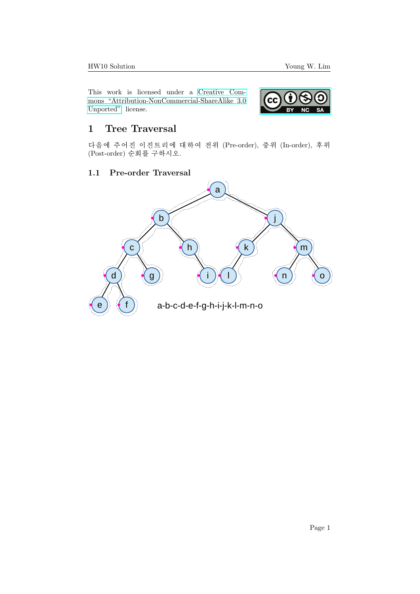This work is licensed under a [Creative Com](https://creativecommons.org/licenses/by-nc-sa/3.0/deed.en)[mons "Attribution-NonCommercial-ShareAlike 3.0](https://creativecommons.org/licenses/by-nc-sa/3.0/deed.en) [Unported"](https://creativecommons.org/licenses/by-nc-sa/3.0/deed.en) license.



## 1 Tree Traversal

다음에 주어진 이진트리에 대하여 전위 (Pre-order), 중위 (In-order), 후위 (Post-order) 순회를 구하시오.

### 1.1 Pre-order Traversal

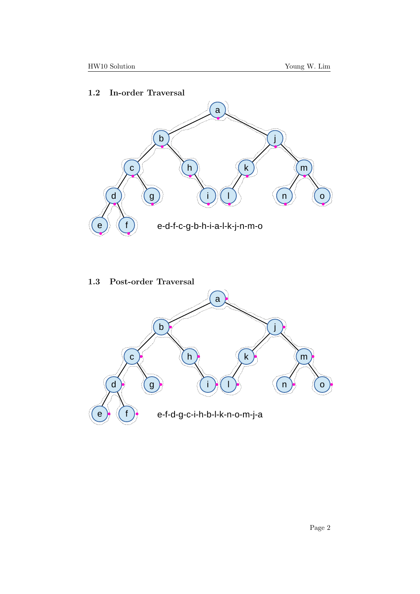### 1.2 In-order Traversal



### 1.3 Post-order Traversal